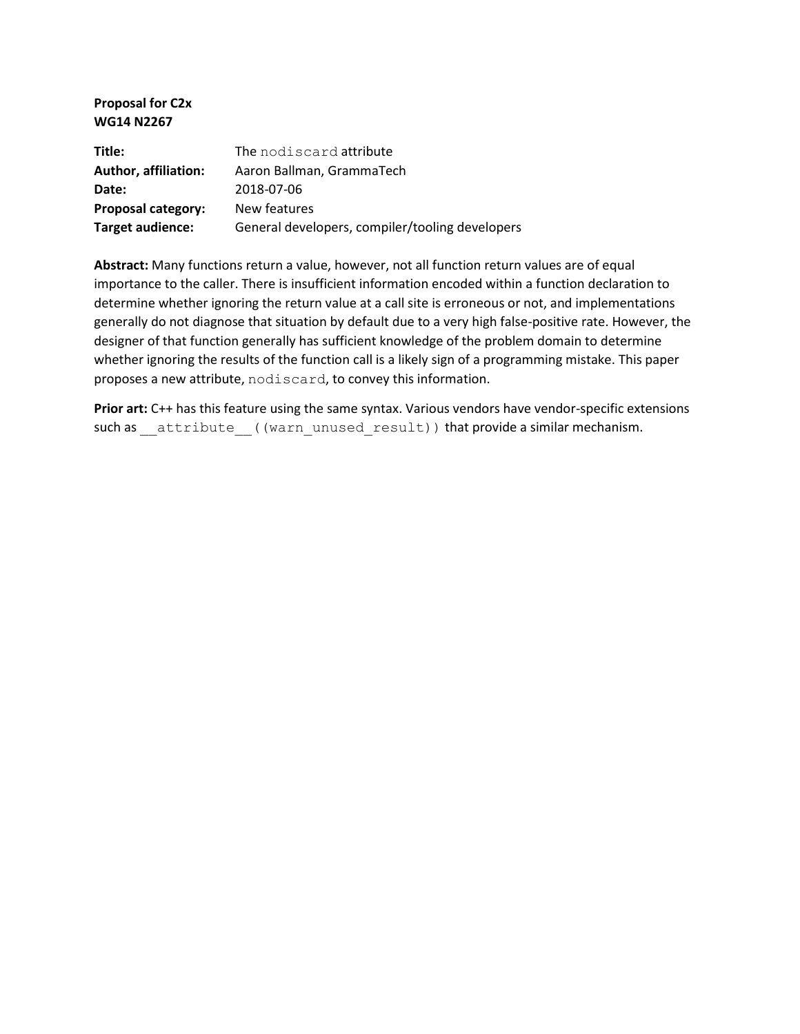#### **Proposal for C2x WG14 N2267**

| Title:                      | The nodiscard attribute                         |
|-----------------------------|-------------------------------------------------|
| <b>Author, affiliation:</b> | Aaron Ballman, GrammaTech                       |
| Date:                       | 2018-07-06                                      |
| <b>Proposal category:</b>   | New features                                    |
| Target audience:            | General developers, compiler/tooling developers |

**Abstract:** Many functions return a value, however, not all function return values are of equal importance to the caller. There is insufficient information encoded within a function declaration to determine whether ignoring the return value at a call site is erroneous or not, and implementations generally do not diagnose that situation by default due to a very high false-positive rate. However, the designer of that function generally has sufficient knowledge of the problem domain to determine whether ignoring the results of the function call is a likely sign of a programming mistake. This paper proposes a new attribute, nodiscard, to convey this information.

Prior art: C++ has this feature using the same syntax. Various vendors have vendor-specific extensions such as \_\_attribute ((warn\_unused\_result)) that provide a similar mechanism.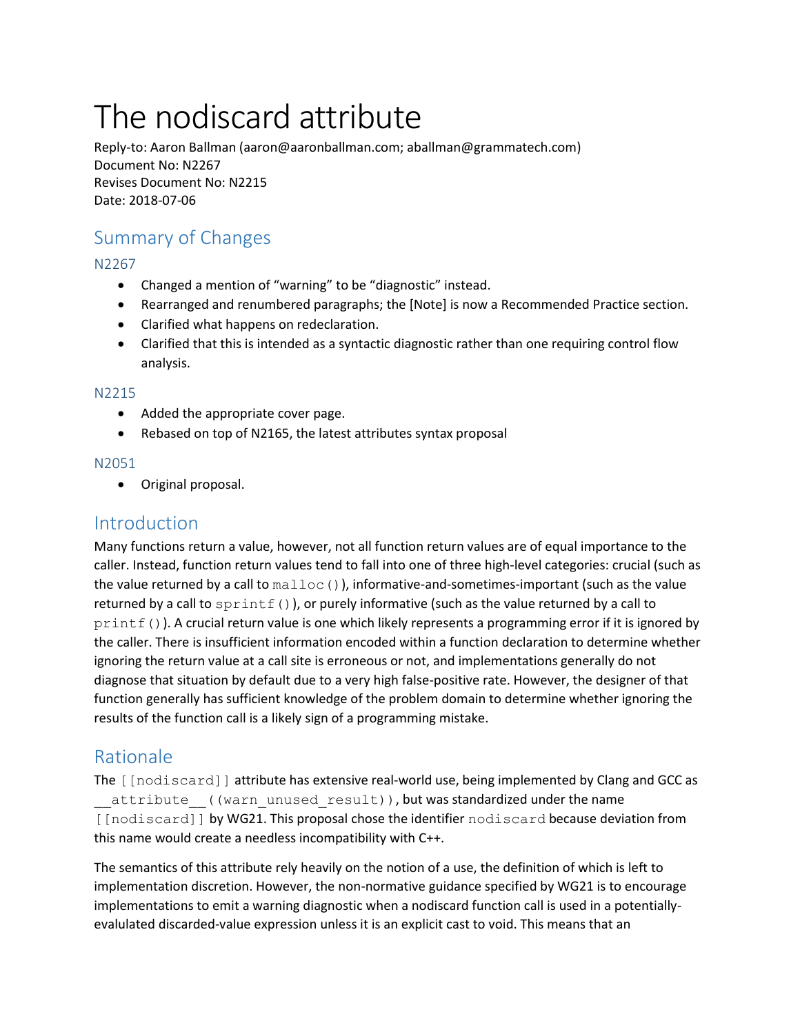# The nodiscard attribute

Reply-to: Aaron Ballman (aaron@aaronballman.com; aballman@grammatech.com) Document No: N2267 Revises Document No: N2215 Date: 2018-07-06

# Summary of Changes

N2267

- Changed a mention of "warning" to be "diagnostic" instead.
- Rearranged and renumbered paragraphs; the [Note] is now a Recommended Practice section.
- Clarified what happens on redeclaration.
- Clarified that this is intended as a syntactic diagnostic rather than one requiring control flow analysis.

#### N2215

- Added the appropriate cover page.
- Rebased on top of N2165, the latest attributes syntax proposal

## N2051

• Original proposal.

# Introduction

Many functions return a value, however, not all function return values are of equal importance to the caller. Instead, function return values tend to fall into one of three high-level categories: crucial (such as the value returned by a call to  $\text{mallow}(\cdot)$ , informative-and-sometimes-important (such as the value returned by a call to  $\text{sprintf}($ ), or purely informative (such as the value returned by a call to  $print(f))$ . A crucial return value is one which likely represents a programming error if it is ignored by the caller. There is insufficient information encoded within a function declaration to determine whether ignoring the return value at a call site is erroneous or not, and implementations generally do not diagnose that situation by default due to a very high false-positive rate. However, the designer of that function generally has sufficient knowledge of the problem domain to determine whether ignoring the results of the function call is a likely sign of a programming mistake.

## Rationale

The [[nodiscard]] attribute has extensive real-world use, being implemented by Clang and GCC as attribute ((warn unused result)), but was standardized under the name [[nodiscard]] by WG21. This proposal chose the identifier nodiscard because deviation from this name would create a needless incompatibility with C++.

The semantics of this attribute rely heavily on the notion of a use, the definition of which is left to implementation discretion. However, the non-normative guidance specified by WG21 is to encourage implementations to emit a warning diagnostic when a nodiscard function call is used in a potentiallyevalulated discarded-value expression unless it is an explicit cast to void. This means that an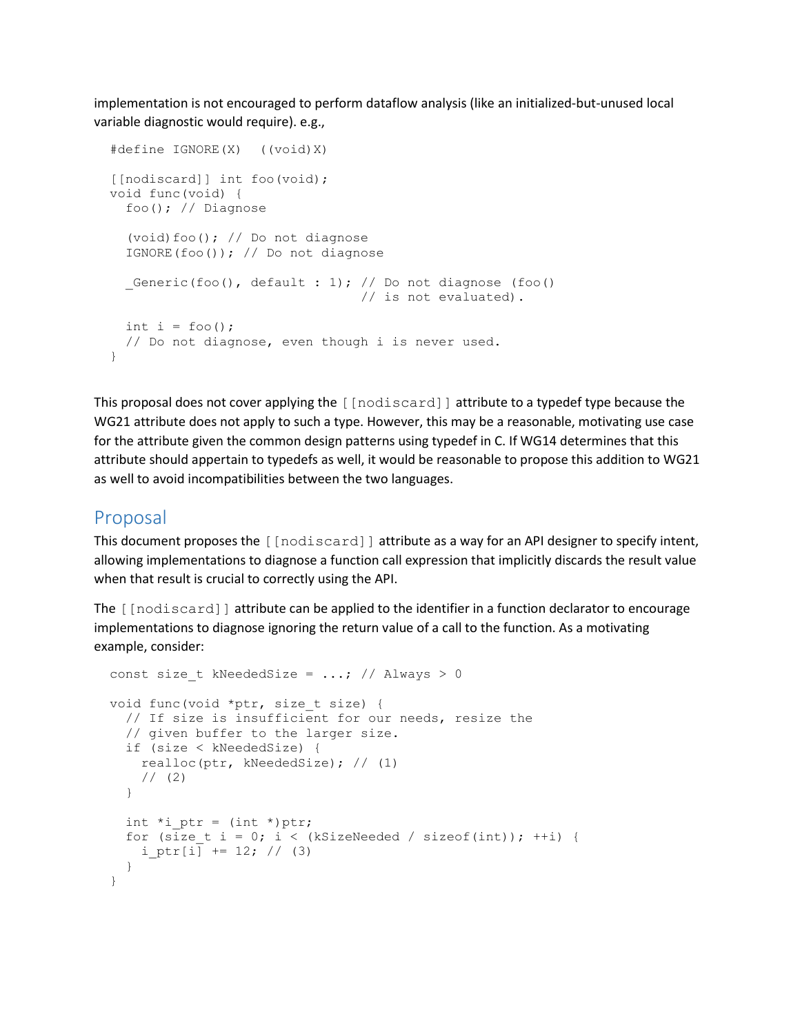implementation is not encouraged to perform dataflow analysis (like an initialized-but-unused local variable diagnostic would require). e.g.,

```
 #define IGNORE(X) ((void)X)
 [[nodiscard]] int foo(void);
 void func(void) {
  foo(); // Diagnose
   (void)foo(); // Do not diagnose
   IGNORE(foo()); // Do not diagnose
  Generic(foo(), default : 1); // Do not diagnose (foo()
                                  // is not evaluated).
 int i = foo();
  // Do not diagnose, even though i is never used.
 }
```
This proposal does not cover applying the [[nodiscard]] attribute to a typedef type because the WG21 attribute does not apply to such a type. However, this may be a reasonable, motivating use case for the attribute given the common design patterns using typedef in C. If WG14 determines that this attribute should appertain to typedefs as well, it would be reasonable to propose this addition to WG21 as well to avoid incompatibilities between the two languages.

## Proposal

This document proposes the [[nodiscard]] attribute as a way for an API designer to specify intent, allowing implementations to diagnose a function call expression that implicitly discards the result value when that result is crucial to correctly using the API.

The [[nodiscard]] attribute can be applied to the identifier in a function declarator to encourage implementations to diagnose ignoring the return value of a call to the function. As a motivating example, consider:

```
const size t kNeededSize = ...; // Always > 0
void func(void *ptr, size t size) {
   // If size is insufficient for our needs, resize the
   // given buffer to the larger size.
   if (size < kNeededSize) {
    realloc(ptr, kNeededSize); // (1)
    // (2) }
  int *i ptr = (int *)ptr;
  for (size t i = 0; i < (kSizeNeeded / sizeof(int)); ++i) {
   i ptr[i] += 12; // (3) }
 }
```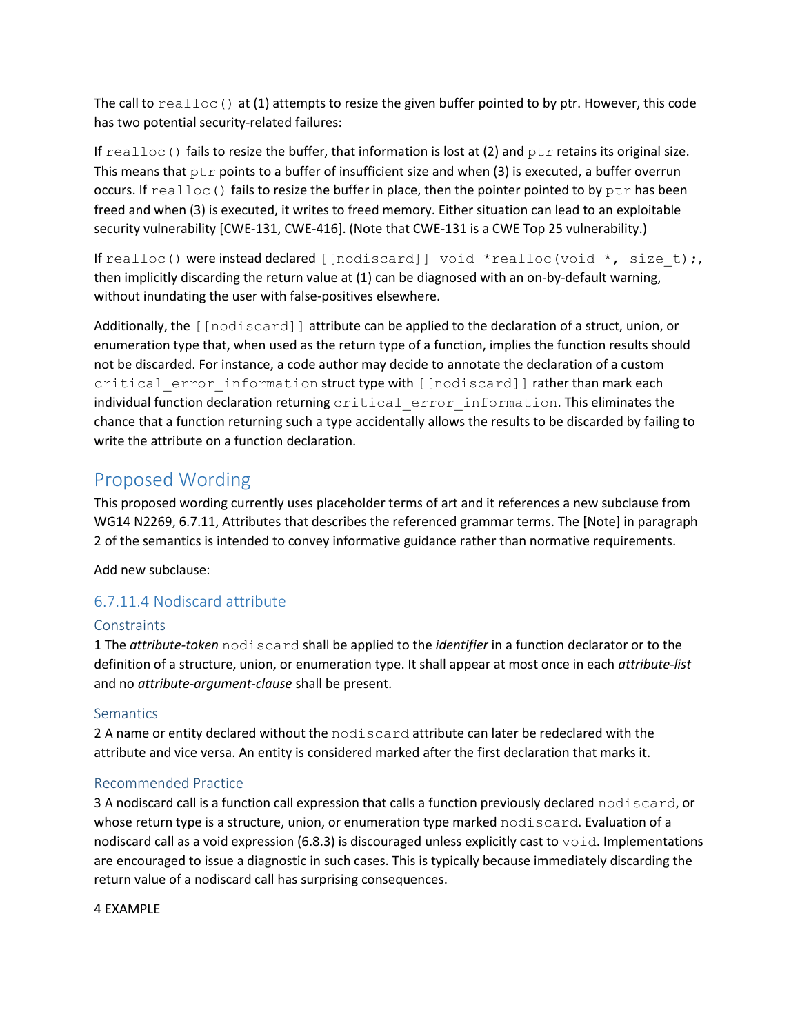The call to  $realloc()$  at (1) attempts to resize the given buffer pointed to by ptr. However, this code has two potential security-related failures:

If  $realloc()$  fails to resize the buffer, that information is lost at (2) and  $ptr$  retains its original size. This means that  $ptr$  points to a buffer of insufficient size and when (3) is executed, a buffer overrun occurs. If  $realloc()$  fails to resize the buffer in place, then the pointer pointed to by  $ptr$  has been freed and when (3) is executed, it writes to freed memory. Either situation can lead to an exploitable security vulnerability [CWE-131, CWE-416]. (Note that CWE-131 is a CWE Top 25 vulnerability.)

If realloc() were instead declared [[nodiscard]] void \*realloc(void \*, size t);, then implicitly discarding the return value at (1) can be diagnosed with an on-by-default warning, without inundating the user with false-positives elsewhere.

Additionally, the [[nodiscard]] attribute can be applied to the declaration of a struct, union, or enumeration type that, when used as the return type of a function, implies the function results should not be discarded. For instance, a code author may decide to annotate the declaration of a custom critical error information struct type with [[nodiscard]] rather than mark each individual function declaration returning critical error information. This eliminates the chance that a function returning such a type accidentally allows the results to be discarded by failing to write the attribute on a function declaration.

# Proposed Wording

This proposed wording currently uses placeholder terms of art and it references a new subclause from WG14 N2269, 6.7.11, Attributes that describes the referenced grammar terms. The [Note] in paragraph 2 of the semantics is intended to convey informative guidance rather than normative requirements.

Add new subclause:

## 6.7.11.4 Nodiscard attribute

## **Constraints**

1 The *attribute-token* nodiscard shall be applied to the *identifier* in a function declarator or to the definition of a structure, union, or enumeration type. It shall appear at most once in each *attribute-list* and no *attribute-argument-clause* shall be present.

## **Semantics**

2 A name or entity declared without the nodiscard attribute can later be redeclared with the attribute and vice versa. An entity is considered marked after the first declaration that marks it.

## Recommended Practice

3 A nodiscard call is a function call expression that calls a function previously declared nodiscard, or whose return type is a structure, union, or enumeration type marked nodiscard. Evaluation of a nodiscard call as a void expression (6.8.3) is discouraged unless explicitly cast to  $\text{void}.$  Implementations are encouraged to issue a diagnostic in such cases. This is typically because immediately discarding the return value of a nodiscard call has surprising consequences.

4 EXAMPLE